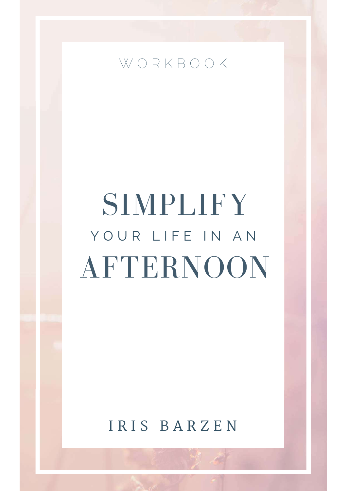

# SIMPLIFY AFTERNOON YOUR LIFE IN AN

IRIS BARZEN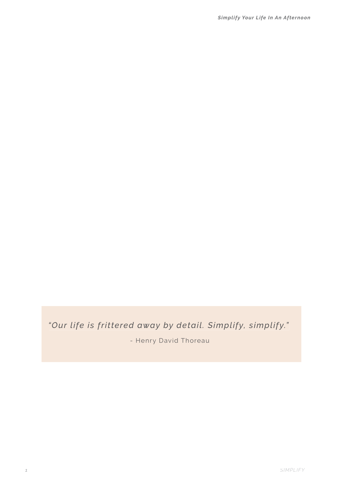### *"Our life is frittered away by detail. Simplify, simplify."*

- Henry David Thoreau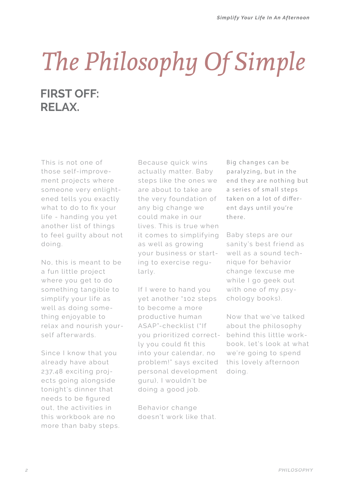## *The Philosophy Of Simple* **FIRST OFF: RELAX.**

This is not one of those self-improvement projects where someone very enlightened tells you exactly what to do to fix your life - handing you yet another list of things to feel guilty about not doing.

No, this is meant to be a fun little project where you get to do something tangible to simplify your life as well as doing something enjoyable to relax and nourish yourself afterwards.

Since I know that you already have about 237,48 exciting projects going alongside tonight's dinner that needs to be figured out, the activities in this workbook are no more than baby steps. Because quick wins actually matter. Baby steps like the ones we are about to take are the very foundation of any big change we could make in our lives. This is true when it comes to simplifying as well as growing your business or starting to exercise regularly.

If I were to hand you yet another "102 steps to become a more productive human ASAP"-checklist ("If you prioritized correctly you could fit this into your calendar, no problem!" says excited personal development guru), I wouldn't be doing a good job.

Behavior change doesn't work like that.

Big changes can be paralyzing, but in the end they are nothing but a series of small steps taken on a lot of different days until you're there.

Baby steps are our sanity's best friend as well as a sound technique for behavior change (excuse me while I go geek out with one of my psychology books).

Now that we've talked about the philosophy behind this little workbook, let's look at what we're going to spend this lovely afternoon doing.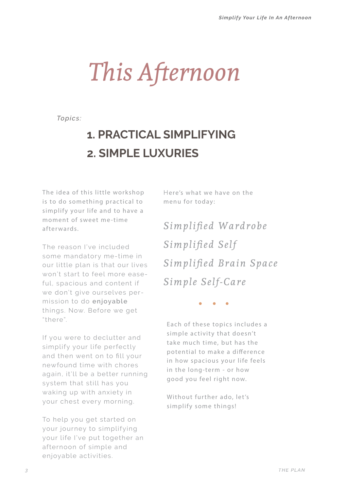*This Afternoon*

*Topics:*

## **1. PRACTICAL SIMPLIFYING 2. SIMPLE LUXURIES**

The idea of this little workshop is to do something practical to simplify your life and to have a moment of sweet me-time afterwards.

The reason I've included some mandatory me-time in our little plan is that our lives won't start to feel more easeful, spacious and content if we don't give ourselves permission to do **enjoyable** things. Now. Before we get "there"

If you were to declutter and simplify your life perfectly and then went on to fill your newfound time with chores again, it'll be a better running system that still has you waking up with anxiety in your chest every morning.

To help you get started on your journey to simplifying your life I've put together an afternoon of simple and enjoyable activities.

Here's what we have on the menu for today:

*Simplified Wardrobe Simplified Self Simplified Brain Space Simple Self-Care*

Each of these topics includes a simple activity that doesn't take much time, but has the potential to make a difference in how spacious your life feels in the long-term - or how good you feel right now.

Without further ado, let's simplify some things!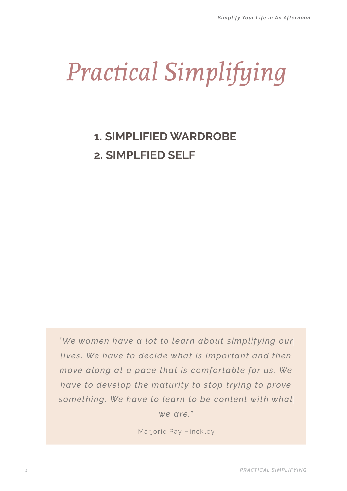# *Practical Simplifying*

## **1. SIMPLIFIED WARDROBE 2. SIMPLFIED SELF**

*"We women have a lot to learn about simplifying our lives. We have to decide what is important and then move along at a pace that is comfortable for us. We have to develop the maturity to stop trying to prove* something. We have to learn to be content with what *we are."*

- Marjorie Pay Hinckley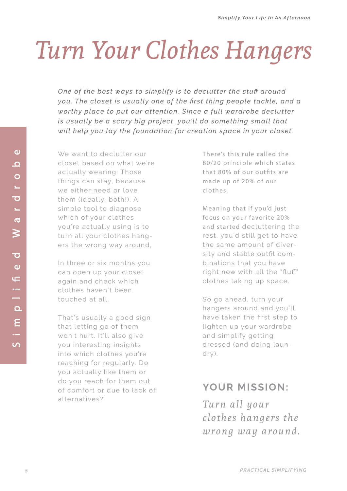# *Turn Your Clothes Hangers*

*One of the best ways to simplify is to declutter the stuff around* you. The closet is usually one of the first thing people tackle, and a *worthy place to put our attention. Since a full wardrobe declutter is usually be a scary big project, you'll do something small that will help you lay the foundation for creation space in your closet.*

We want to declutter our closet based on what we're actually wearing: Those things can stay, because we either need or love them (ideally, both!). A simple tool to diagnose which of your clothes you're actually using is to turn all your clothes hangers the wrong way around,

In three or six months you can open up your closet again and check which clothes haven't been touched at all.

That's usually a good sign that letting go of them won't hurt. It'll also give you interesting insights into which clothes you're reaching for regularly. Do you actually like them or do you reach for them out of comfort or due to lack of alternatives?

There's this rule called the 80/20 principle which states that 80% of our outfits are made up of 20% of our clothes.

Meaning that if you'd just focus on your favorite 20% and started decluttering the rest, you'd still get to have the same amount of diversity and stable outfit combinations that you have right now with all the "fluff" clothes taking up space.

So go ahead, turn your hangers around and you'll have taken the first step to lighten up your wardrobe and simplify getting dressed (and doing laundry).

### **YOUR MISSION:**

*Turn all your clothes hangers the wrong way around.*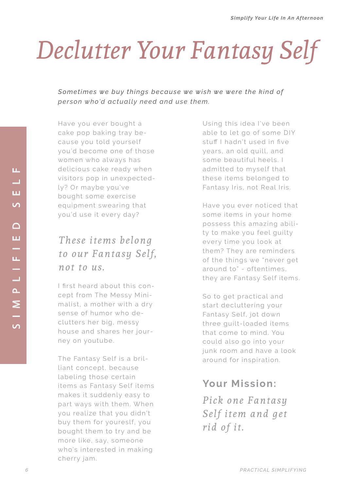# *Declutter Your Fantasy Self*

Sometimes we buy things because we wish we were the kind of person who'd actually need and use them.

Have you ever bought a cake pop baking tray because you told yourself you'd become one of those women who always has delicious cake ready when visitors pop in unexpectedly? Or maybe you've bought some exercise equipment swearing that you'd use it every day?

## *These items belong to our Fantasy Self, not to us.*

I first heard about this concept from The Messy Minimalist, a mother with a dry sense of humor who declutters her big, messy house and shares her journey on youtube.

The Fantasy Self is a brilliant concept, because labeling those certain items as Fantasy Self items makes it suddenly easy to part ways with them. When you realize that you didn't buy them for youreslf, you bought them to try and be more like, say, someone who's interested in making cherry jam.

Using this idea I've been able to let go of some DIY stuff I hadn't used in five years, an old quill, and some beautiful heels. I admitted to myself that these items belonged to Fantasy Iris, not Real Iris.

Have you ever noticed that some items in your home possess this amazing ability to make you feel guilty every time you look at them? They are reminders of the things we "never get around to" - oftentimes, they are Fantasy Self items.

So to get practical and start decluttering your Fantasy Self, jot down three guilt-loaded items that come to mind. You could also go into your junk room and have a look around for inspiration.

### **Your Mission:**

*Pick one Fantasy Self item and get rid of it.*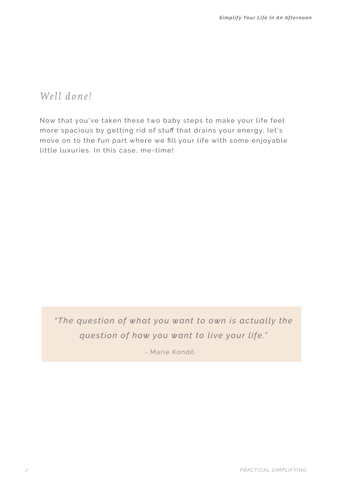*Well done!*

Now that you've taken these two baby steps to make your life feel more spacious by getting rid of stuff that drains your energy, let's move on to the fun part where we fill your life with some enjoyable little luxuries. In this case, me-time!

*"The question of what you want to own is actually the question of how you want to live your life."* 

- Marie Kondō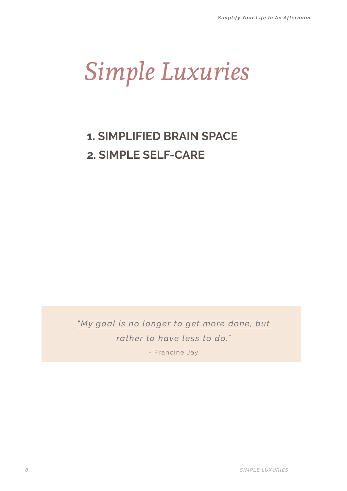## *Simple Luxuries*

## **1. SIMPLIFIED BRAIN SPACE 2. SIMPLE SELF-CARE**

*Ny goal is no longer to get more done, but rather to have less to do."*

- Francine Jay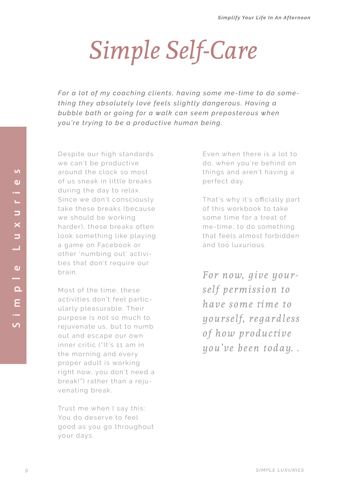# *Simple Self-Care*

For a lot of my coaching clients, having some me-time to do something they absolutely love feels slightly dangerous. Having a *Kubble bath or going for a walk can seem preposterous when you're trying to be a productive human being.* 

Despite our high standards we can't be productive around the clock so most of us sneak in little breaks during the day to relax. Since we don't consciously take these breaks (because we should be working harder), these breaks often look something like playing a game on Facebook or other 'numbing out' activities that don't require our brain.

Most of the time, these activities don't feel particularly pleasurable. Their purpose is not so much to rejuvenate us, but to numb out and escape our own inner critic ("It's 11 am in the morning and every proper adult is working right now, you don't need a break!") rather than a rejuvenating break.

Trust me when I say this: You do deserve to feel good as you go throughout your days.

Even when there is a lot to do, when you're behind on things and aren't having a perfect day.

That's why it's officially part of this workbook to take some time for a treat of me-time, to do something that feels almost forbidden and too luxurious.

*For now, give yourself permission to have some time to yourself, regardless of how productive you've been today. .*

 $\overline{v}$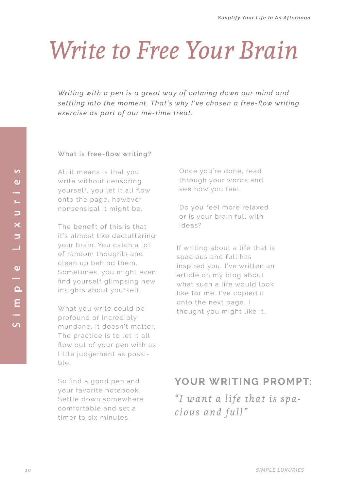## *Write to Free Your Brain*

*Writing with a pen is a great way of calming down our mind and* settling into the moment. That's why I've chosen a free-flow writing *diavercise as part of our me-time treat.* 

#### **What is free-flow writing?**

All it means is that you write without censoring yourself, you let it all flow onto the page, however nonsensical it might be.

The benefit of this is that it's almost like decluttering your brain. You catch a lot of random thoughts and clean up behind them. Sometimes, you might even find yourself glimpsing new insights about yourself.

What you write could be profound or incredibly mundane, it doesn't matter. The practice is to let it all flow out of your pen with as little judgement as possible.

So find a good pen and your favorite notebook. Settle down somewhere comfortable and set a timer to six minutes.

Once you're done, read through your words and see how you feel.

Do you feel more relaxed or is your brain full with ideas?

If writing about a life that is spacious and full has inspired you, I've written an article on my blog about what such a life would look like for me. I've copied it onto the next page, I thought you might like it.

### **YOUR WRITING PROMPT:**

*"I want a life that is spacious and full"*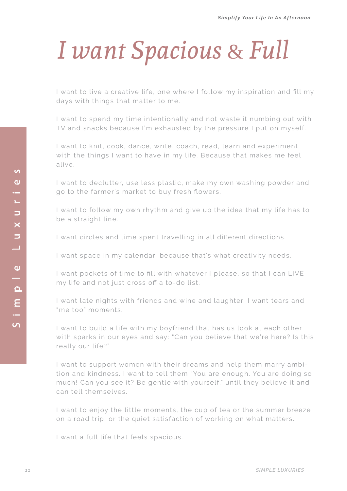# *I want Spacious* & *Full*

I want to live a creative life, one where I follow my inspiration and fill my days with things that matter to me.

I want to spend my time intentionally and not waste it numbing out with TV and snacks because I'm exhausted by the pressure I put on myself.

I want to knit, cook, dance, write, coach, read, learn and experiment with the things I want to have in my life. Because that makes me feel alive.

I want to declutter, use less plastic, make my own washing powder and go to the farmer's market to buy fresh flowers.

I want to follow my own rhythm and give up the idea that my life has to be a straight line.

I want circles and time spent travelling in all different directions.

I want space in my calendar, because that's what creativity needs.

I want pockets of time to fill with whatever I please, so that I can LIVE my life and not just cross off a to-do list.

I want late nights with friends and wine and laughter. I want tears and "me too" moments.

I want to build a life with my boyfriend that has us look at each other with sparks in our eyes and say: "Can you believe that we're here? Is this really our life?"

I want to support women with their dreams and help them marry ambition and kindness. I want to tell them "You are enough. You are doing so much! Can you see it? Be gentle with yourself." until they believe it and can tell themselves.

I want to enjoy the little moments, the cup of tea or the summer breeze on a road trip, or the quiet satisfaction of working on what matters.

I want a full life that feels spacious.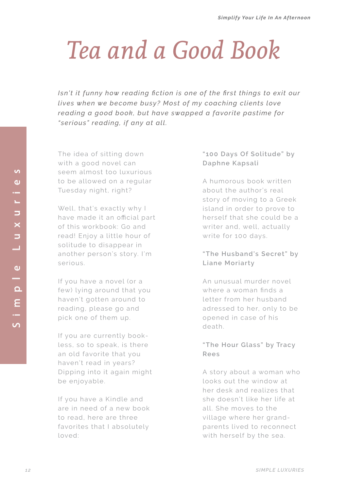## *Tea and a Good Book*

*<i>Filiana Figuila is one of the first things to exit our lives when we become busy? Most of my coaching clients love* reading a good book, but have swapped a favorite pastime for *"serious" reading, if any at all.* 

The idea of sitting down with a good novel can seem almost too luxurious to be allowed on a regular Tuesday night, right?

Well, that's exactly why I have made it an official part of this workbook: Go and read! Enjoy a little hour of solitude to disappear in another person's story. I'm serious.

If you have a novel (or a few) lying around that you haven't gotten around to reading, please go and pick one of them up.

If you are currently bookless, so to speak, is there an old favorite that you haven't read in years? Dipping into it again might be enjoyable.

If you have a Kindle and are in need of a new book to read, here are three favorites that I absolutely loved:

### **"100 Days Of Solitude" by Daphne Kapsali**

A humorous book written about the author's real story of moving to a Greek island in order to prove to herself that she could be a writer and, well, actually write for 100 days.

### **"The Husband's Secret" by Liane Moriarty**

An unusual murder novel where a woman finds a letter from her husband adressed to her, only to be opened in case of his death.

### **"The Hour Glass" by Tracy Rees**

A story about a woman who looks out the window at her desk and realizes that she doesn't like her life at all. She moves to the village where her grandparents lived to reconnect with herself by the sea.